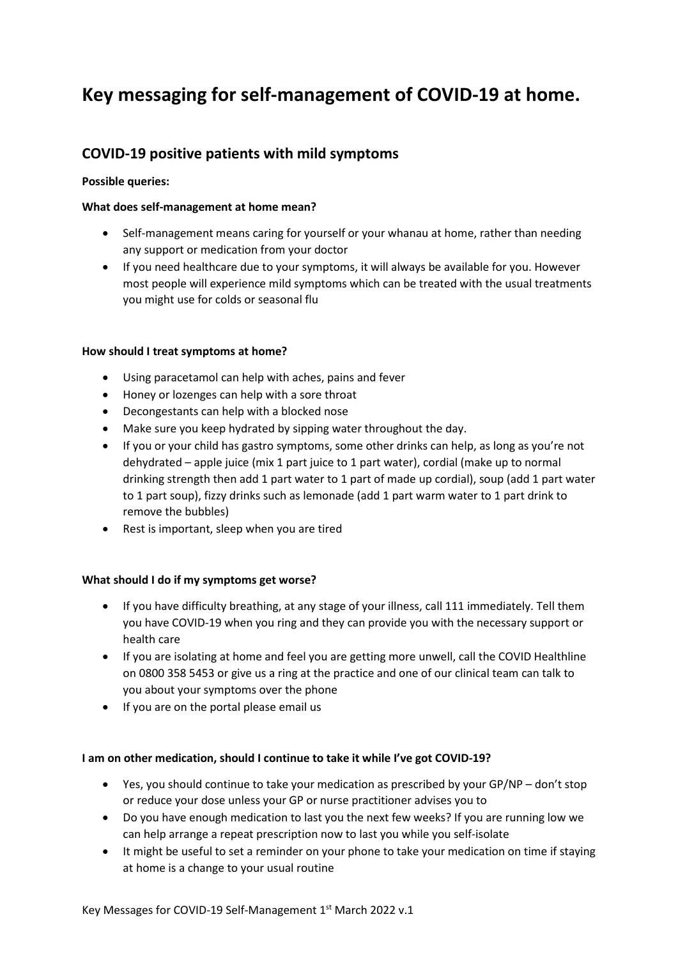# **Key messaging for self-management of COVID-19 at home.**

# **COVID-19 positive patients with mild symptoms**

# **Possible queries:**

# **What does self-management at home mean?**

- Self-management means caring for yourself or your whanau at home, rather than needing any support or medication from your doctor
- If you need healthcare due to your symptoms, it will always be available for you. However most people will experience mild symptoms which can be treated with the usual treatments you might use for colds or seasonal flu

#### **How should I treat symptoms at home?**

- Using paracetamol can help with aches, pains and fever
- Honey or lozenges can help with a sore throat
- Decongestants can help with a blocked nose
- Make sure you keep hydrated by sipping water throughout the day.
- If you or your child has gastro symptoms, some other drinks can help, as long as you're not dehydrated – apple juice (mix 1 part juice to 1 part water), cordial (make up to normal drinking strength then add 1 part water to 1 part of made up cordial), soup (add 1 part water to 1 part soup), fizzy drinks such as lemonade (add 1 part warm water to 1 part drink to remove the bubbles)
- Rest is important, sleep when you are tired

# **What should I do if my symptoms get worse?**

- If you have difficulty breathing, at any stage of your illness, call 111 immediately. Tell them you have COVID-19 when you ring and they can provide you with the necessary support or health care
- If you are isolating at home and feel you are getting more unwell, call the COVID Healthline on 0800 358 5453 or give us a ring at the practice and one of our clinical team can talk to you about your symptoms over the phone
- If you are on the portal please email us

#### **I am on other medication, should I continue to take it while I've got COVID-19?**

- Yes, you should continue to take your medication as prescribed by your GP/NP don't stop or reduce your dose unless your GP or nurse practitioner advises you to
- Do you have enough medication to last you the next few weeks? If you are running low we can help arrange a repeat prescription now to last you while you self-isolate
- It might be useful to set a reminder on your phone to take your medication on time if staying at home is a change to your usual routine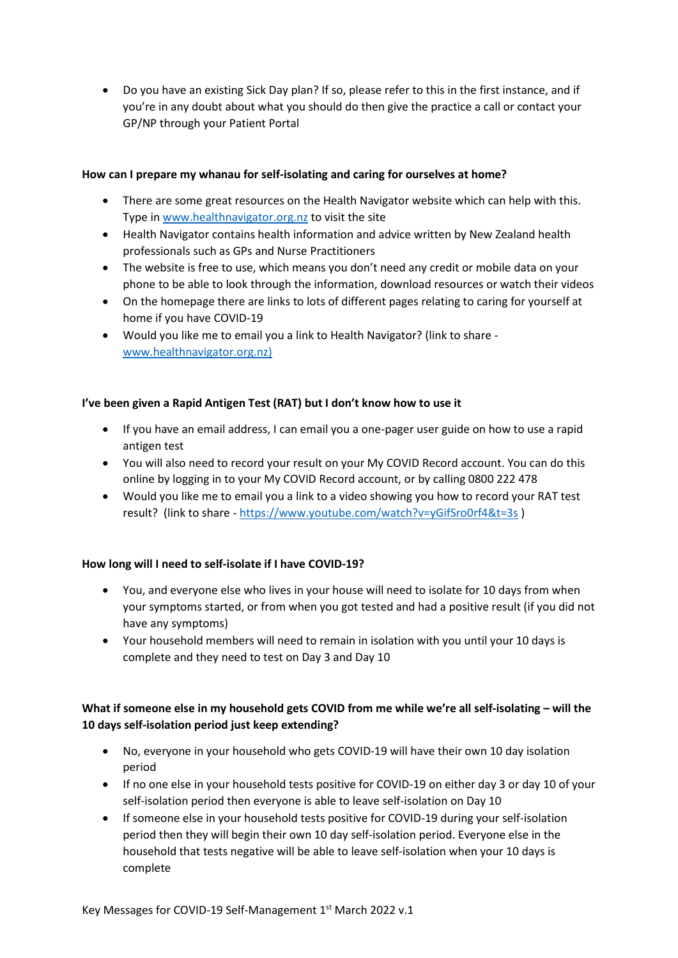• Do you have an existing Sick Day plan? If so, please refer to this in the first instance, and if you're in any doubt about what you should do then give the practice a call or contact your GP/NP through your Patient Portal

# **How can I prepare my whanau for self-isolating and caring for ourselves at home?**

- There are some great resources on the Health Navigator website which can help with this. Type in [www.healthnavigator.org.nz](http://www.healthnavigator.org.nz/) to visit the site
- Health Navigator contains health information and advice written by New Zealand health professionals such as GPs and Nurse Practitioners
- The website is free to use, which means you don't need any credit or mobile data on your phone to be able to look through the information, download resources or watch their videos
- On the homepage there are links to lots of different pages relating to caring for yourself at home if you have COVID-19
- Would you like me to email you a link to Health Navigator? (link to share [www.healthnavigator.org.nz\)](http://www.healthnavigator.org.nz/)

#### **I've been given a Rapid Antigen Test (RAT) but I don't know how to use it**

- If you have an email address, I can email you a one-pager user guide on how to use a rapid antigen test
- You will also need to record your result on your My COVID Record account. You can do this online by logging in to your My COVID Record account, or by calling 0800 222 478
- Would you like me to email you a link to a video showing you how to record your RAT test result? (link to share - <https://www.youtube.com/watch?v=yGifSro0rf4&t=3s> )

#### **How long will I need to self-isolate if I have COVID-19?**

- You, and everyone else who lives in your house will need to isolate for 10 days from when your symptoms started, or from when you got tested and had a positive result (if you did not have any symptoms)
- Your household members will need to remain in isolation with you until your 10 days is complete and they need to test on Day 3 and Day 10

# **What if someone else in my household gets COVID from me while we're all self-isolating – will the 10 days self-isolation period just keep extending?**

- No, everyone in your household who gets COVID-19 will have their own 10 day isolation period
- If no one else in your household tests positive for COVID-19 on either day 3 or day 10 of your self-isolation period then everyone is able to leave self-isolation on Day 10
- If someone else in your household tests positive for COVID-19 during your self-isolation period then they will begin their own 10 day self-isolation period. Everyone else in the household that tests negative will be able to leave self-isolation when your 10 days is complete